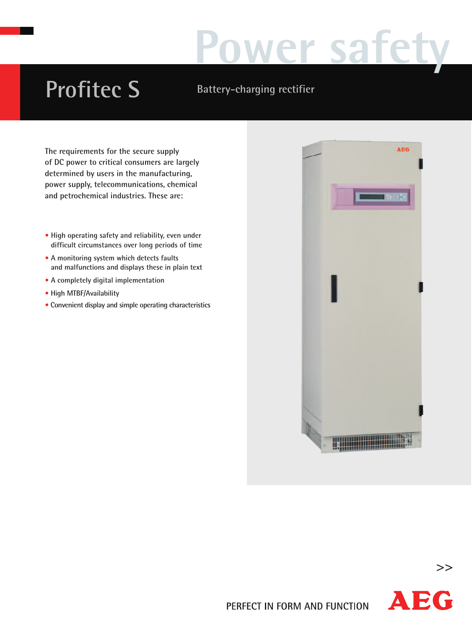# Wer sa

## **Profitec S Battery-charging rectifier**

**The requirements for the secure supply of DC power to critical consumers are largely determined by users in the manufacturing, power supply, telecommunications, chemical and petrochemical industries. These are:**

- **• High operating safety and reliability, even under difficult circumstances over long periods of time**
- **• A monitoring system which detects faults and malfunctions and displays these in plain text**
- **• A completely digital implementation**
- **• High MTBF/Availability**
- **• Convenient display and simple operating characteristics**





**>>**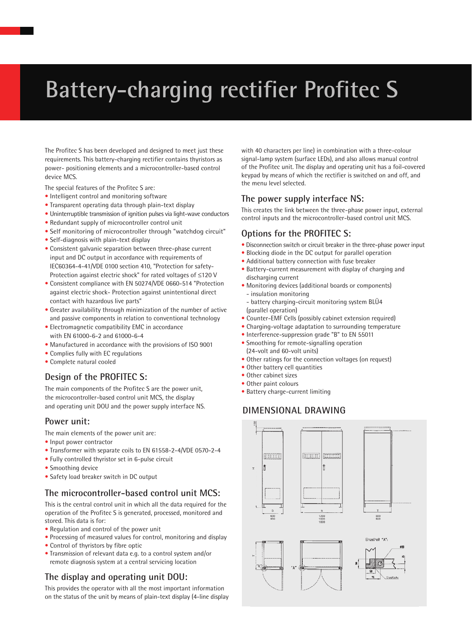### **Battery-charging rectifier Profitec S**

The Profitec S has been developed and designed to meet just these requirements. This battery-charging rectifier contains thyristors as power- positioning elements and a microcontroller-based control device MCS.

The special features of the Profitec S are:

- Intelligent control and monitoring software
- Transparent operating data through plain-text display
- Uninterruptible transmission of ignition pulses via light-wave conductors
- Redundant supply of microcontroller control unit
- Self monitoring of microcontroller through "watchdog circuit"
- Self-diagnosis with plain-text display
- Consistent galvanic separation between three-phase current input and DC output in accordance with requirements of IEC60364-4-41/VDE 0100 section 410, "Protection for safety-Protection against electric shock" for rated voltages of ≤120 V
- Consistent compliance with EN 50274/VDE 0660-514 "Protection against electric shock- Protection against unintentional direct contact with hazardous live parts"
- Greater availability through minimization of the number of active and passive components in relation to conventional technology
- Electromagnetic compatibility EMC in accordance with EN 61000-6-2 and 61000-6-4
- Manufactured in accordance with the provisions of ISO 9001
- Complies fully with EC regulations
- Complete natural cooled

#### **Design of the PROFITEC S:**

The main components of the Profitec S are the power unit, the microcontroller-based control unit MCS, the display and operating unit DOU and the power supply interface NS.

#### **Power unit:**

The main elements of the power unit are:

- Input power contractor
- Transformer with separate coils to EN 61558-2-4/VDE 0570-2-4
- Fully controlled thyristor set in 6-pulse circuit
- Smoothing device
- Safety load breaker switch in DC output

#### **The microcontroller-based control unit MCS:**

This is the central control unit in which all the data required for the operation of the Profitec S is generated, processed, monitored and stored. This data is for:

- Regulation and control of the power unit
- Processing of measured values for control, monitoring and display
- Control of thyristors by fibre optic
- Transmission of relevant data e.g. to a control system and/or remote diagnosis system at a central servicing location

#### **The display and operating unit DOU:**

This provides the operator with all the most important information on the status of the unit by means of plain-text display (4-line display

with 40 characters per line) in combination with a three-colour signal-lamp system (surface LEDs), and also allows manual control of the Profitec unit. The display and operating unit has a foil-covered keypad by means of which the rectifier is switched on and off, and the menu level selected.

#### **The power supply interface NS:**

This creates the link between the three-phase power input, external control inputs and the microcontroller-based control unit MCS.

#### **Options for the PROFITEC S:**

- Disconnection switch or circuit breaker in the three-phase power input
- Blocking diode in the DC output for parallel operation
- Additional battery connection with fuse breaker
- Battery-current measurement with display of charging and discharging current
- Monitoring devices (additional boards or components) - insulation monitoring
- battery charging-circuit monitoring system BLÜ4 (parallel operation)
- Counter-EMF Cells (possibly cabinet extension required)
- Charging-voltage adaptation to surrounding temperature
- Interference-suppression grade "B" to EN 55011
- Smoothing for remote-signalling operation (24-volt and 60-volt units)
- Other ratings for the connection voltages (on request)
- Other battery cell quantities
- Other cabinet sizes
- Other paint colours
- Battery charge-current limiting

#### **DIMENSIONAL DRAWING**

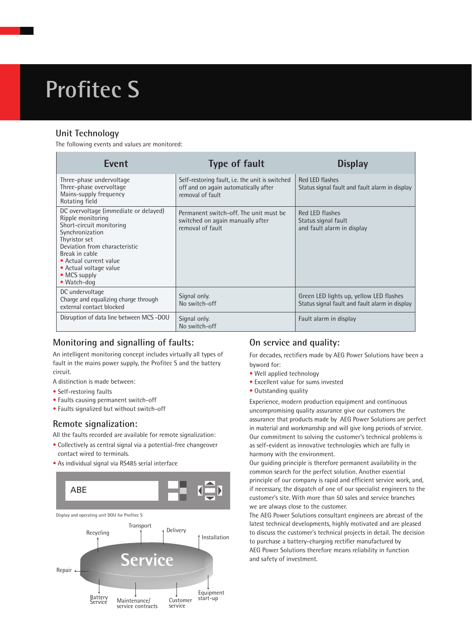### **Profitec S**

#### **Unit Technology**

The following events and values are monitored:

| <b>Event</b>                                                                                                                                                                                                                                                     | <b>Type of fault</b>                                                                                        | <b>Display</b>                                                                            |
|------------------------------------------------------------------------------------------------------------------------------------------------------------------------------------------------------------------------------------------------------------------|-------------------------------------------------------------------------------------------------------------|-------------------------------------------------------------------------------------------|
| Three-phase undervoltage<br>Three-phase overvoltage<br>Mains-supply frequency<br>Rotating field                                                                                                                                                                  | Self-restoring fault, i.e. the unit is switched<br>off and on again automatically after<br>removal of fault | Red LED flashes<br>Status signal fault and fault alarm in display                         |
| DC overvoltage (immediate or delayed)<br>Ripple monitoring<br>Short-circuit monitoring<br>Synchronization<br>Thyristor set<br>Deviation from characteristic<br>Break in cable<br>• Actual current value<br>• Actual voltage value<br>• MCS supply<br>• Watch-dog | Permanent switch-off. The unit must be<br>switched on again manually after<br>removal of fault              | Red LED flashes<br>Status signal fault<br>and fault alarm in display                      |
| DC undervoltage<br>Charge and equalizing charge through<br>external contact blocked                                                                                                                                                                              | Signal only.<br>No switch-off                                                                               | Green LED lights up, yellow LED flashes<br>Status signal fault and fault alarm in display |
| Disruption of data line between MCS -DOU                                                                                                                                                                                                                         | Signal only.<br>No switch-off                                                                               | Fault alarm in display                                                                    |

#### **Monitoring and signalling of faults:**

An intelligent monitoring concept includes virtually all types of fault in the mains power supply, the Profitec S and the battery circuit.

A distinction is made between:

- Self-restoring faults
- Faults causing permanent switch-off
- Faults signalized but without switch-off

#### **Remote signalization:**

All the faults recorded are available for remote signalization:

- Collectively as central signal via a potential-free changeover contact wired to terminals.
- As individual signal via RS485 serial interface



#### **On service and quality:**

For decades, rectifiers made by AEG Power Solutions have been a byword for:

- Well applied technology
- Excellent value for sums invested
- Outstanding quality

Experience, modern production equipment and continuous uncompromising quality assurance give our customers the assurance that products made by AEG Power Solutions are perfect in material and workmanship and will give long periods of service. Our commitment to solving the customer's technical problems is as self-evident as innovative technologies which are fully in harmony with the environment.

Our guiding principle is therefore permanent availability in the common search for the perfect solution. Another essential principle of our company is rapid and efficient service work, and, if necessary, the dispatch of one of our specialist engineers to the customer's site. With more than 50 sales and service branches we are always close to the customer.

The AEG Power Solutions consultant engineers are abreast of the latest technical developments, highly motivated and are pleased to discuss the customer's technical projects in detail. The decision to purchase a battery-charging rectifier manufactured by AEG Power Solutions therefore means reliability in function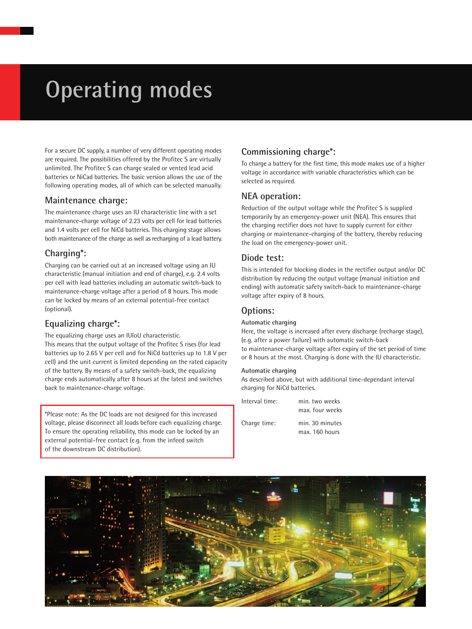### **Operating modes**

For a secure DC supply, a number of very different operating modes are required. The possibilities offered by the Profitec S are virtually unlimited. The Profitec S can charge sealed or vented lead acid batteries or NiCad batteries. The basic version allows the use of the following operating modes, all of which can be selected manually.

#### **Maintenance charge:**

The maintenance charge uses an IU characteristic line with a set maintenance-charge voltage of 2.23 volts per cell for lead batteries and 1.4 volts per cell for NiCd batteries. This charging stage allows both maintenance of the charge as well as recharging of a lead battery.

#### **Charging\*:**

Charging can be carried out at an increased voltage using an IU characteristic (manual initiation and end of charge), e.g. 2.4 volts per cell with lead batteries including an automatic switch-back to maintenance-charge voltage after a period of 8 hours. This mode can be locked by means of an external potential-free contact (optional).

#### **Equalizing charge\*:**

The equalizing charge uses an IUIoU characteristic. This means that the output voltage of the Profitec S rises (for lead batteries up to 2.65 V per cell and for NiCd batteries up to 1.8 V per cell) and the unit current is limited depending on the rated capacity of the battery. By means of a safety switch-back, the equalizing charge ends automatically after 8 hours at the latest and switches back to maintenance-charge voltage.

\*Please note: As the DC loads are not designed for this increased voltage, please disconnect all loads before each equalizing charge. To ensure the operating reliability, this mode can be locked by an external potential-free contact (e.g. from the infeed switch of the downstream DC distribution).

#### **Commissioning charge\*:**

To charge a battery for the first time, this mode makes use of a higher voltage in accordance with variable characteristics which can be selected as required.

#### **NEA operation:**

Reduction of the output voltage while the Profitec S is supplied temporarily by an emergency-power unit (NEA). This ensures that the charging rectifier does not have to supply current for either charging or maintenance-charging of the battery, thereby reducing the load on the emergency-power unit.

#### **Diode test:**

This is intended for blocking diodes in the rectifier output and/or DC distribution by reducing the output voltage (manual initiation and ending) with automatic safety switch-back to maintenance-charge voltage after expiry of 8 hours.

#### **Options:**

#### **Automatic charging**

Here, the voltage is increased after every discharge (recharge stage), (e.g. after a power failure) with automatic switch-back to maintenance-charge voltage after expiry of the set period of time or 8 hours at the most. Charging is done with the IU characteristic.

#### **Automatic charging**

As described above, but with additional time-dependant interval charging for NiCd batteries.

| Interval time: | min. two weeks  |  |  |  |  |
|----------------|-----------------|--|--|--|--|
|                | max. four weeks |  |  |  |  |
| Charge time:   | min. 30 minutes |  |  |  |  |
|                | max. 160 hours  |  |  |  |  |

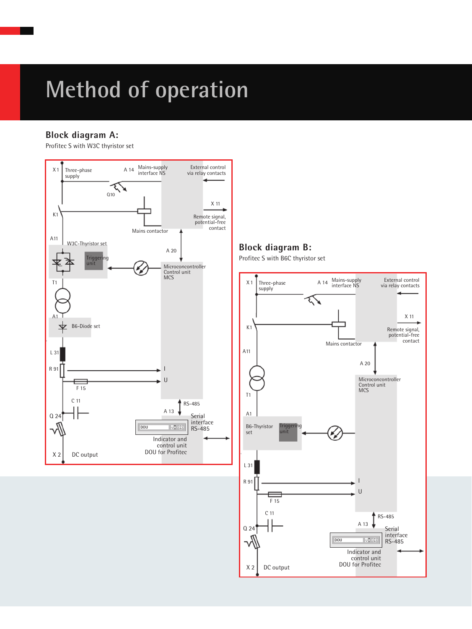### **Method of operation**

#### **Block diagram A:**

Profitec S with W3C thyristor set



#### **Block diagram B:**

Profitec S with B6C thyristor set

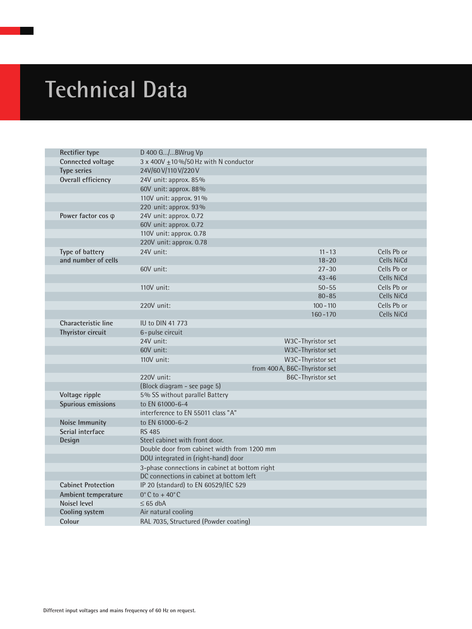## **Technical Data**

| Rectifier type             | D 400 G/BWrug Vp                               |                               |  |             |  |
|----------------------------|------------------------------------------------|-------------------------------|--|-------------|--|
| Connected voltage          | 3 x 400V $\pm$ 10 %/50 Hz with N conductor     |                               |  |             |  |
| <b>Type series</b>         | 24V/60V/110V/220V                              |                               |  |             |  |
| Overall efficiency         | 24V unit: approx. 85%                          |                               |  |             |  |
|                            | 60V unit: approx. 88%                          |                               |  |             |  |
|                            | 110V unit: approx. 91%                         |                               |  |             |  |
|                            | 220 unit: approx. 93%                          |                               |  |             |  |
| Power factor cos $\varphi$ | 24V unit: approx. 0.72                         |                               |  |             |  |
|                            | 60V unit: approx. 0.72                         |                               |  |             |  |
|                            | 110V unit: approx. 0.78                        |                               |  |             |  |
|                            | 220V unit: approx. 0.78                        |                               |  |             |  |
| Type of battery            | 24V unit:                                      | $11 - 13$                     |  | Cells Pb or |  |
| and number of cells        |                                                | $18 - 20$                     |  | Cells NiCd  |  |
|                            | 60V unit:                                      | $27 - 30$                     |  | Cells Pb or |  |
|                            |                                                | $43 - 46$                     |  | Cells NiCd  |  |
|                            | 110V unit:                                     | $50 - 55$                     |  | Cells Pb or |  |
|                            |                                                | $80 - 85$                     |  | Cells NiCd  |  |
|                            | 220V unit:                                     | $100 - 110$                   |  | Cells Pb or |  |
|                            |                                                | $160 - 170$                   |  | Cells NiCd  |  |
| Characteristic line        | IU to DIN 41 773                               |                               |  |             |  |
| Thyristor circuit          | 6-pulse circuit                                |                               |  |             |  |
|                            | 24V unit:                                      | W3C-Thyristor set             |  |             |  |
|                            | 60V unit:                                      | W3C-Thyristor set             |  |             |  |
|                            | 110V unit:                                     | W3C-Thyristor set             |  |             |  |
|                            |                                                | from 400 A, B6C-Thyristor set |  |             |  |
|                            | 220V unit:                                     | B6C-Thyristor set             |  |             |  |
|                            | (Block diagram - see page 5)                   |                               |  |             |  |
| Voltage ripple             | 5% SS without parallel Battery                 |                               |  |             |  |
| Spurious emissions         | to EN 61000-6-4                                |                               |  |             |  |
|                            | interference to EN 55011 class "A"             |                               |  |             |  |
| <b>Noise Immunity</b>      | to EN 61000-6-2                                |                               |  |             |  |
| Serial interface           | <b>RS 485</b>                                  |                               |  |             |  |
| Design                     | Steel cabinet with front door.                 |                               |  |             |  |
|                            | Double door from cabinet width from 1200 mm    |                               |  |             |  |
|                            | DOU integrated in (right-hand) door            |                               |  |             |  |
|                            | 3-phase connections in cabinet at bottom right |                               |  |             |  |
|                            | DC connections in cabinet at bottom left       |                               |  |             |  |
| <b>Cabinet Protection</b>  | IP 20 (standard) to EN 60529/IEC 529           |                               |  |             |  |
| Ambient temperature        | $0^\circ$ C to +40 $^\circ$ C                  |                               |  |             |  |
| <b>Noisel level</b>        | $\leq 65$ dbA                                  |                               |  |             |  |
| Cooling system             | Air natural cooling                            |                               |  |             |  |
| Colour                     | RAL 7035, Structured (Powder coating)          |                               |  |             |  |
|                            |                                                |                               |  |             |  |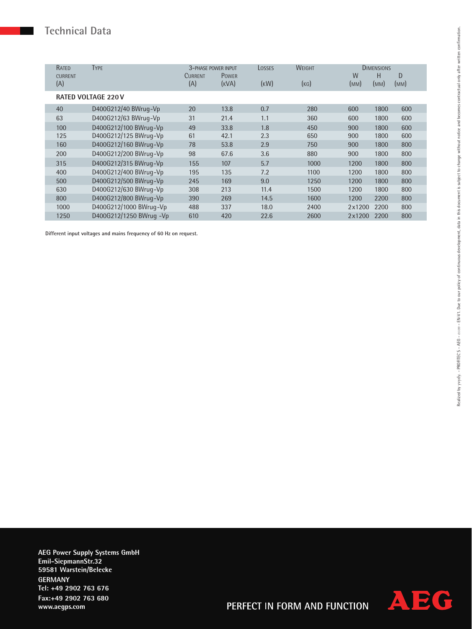### **Technical Data**

| RATED          | <b>TYPE</b>               | <b>3-PHASE POWER INPUT</b> |              | LOSSES | WEIGHT |        | <b>DIMENSIONS</b> |      |
|----------------|---------------------------|----------------------------|--------------|--------|--------|--------|-------------------|------|
| <b>CURRENT</b> |                           | <b>CURRENT</b>             | <b>POWER</b> |        |        | W      | Н                 | D    |
| (A)            |                           | (A)                        | (KVA)        | (KW)   | (KG)   | (MM)   | (MM)              | (MM) |
|                | <b>RATED VOLTAGE 220V</b> |                            |              |        |        |        |                   |      |
| 40             | D400G212/40 BWrug-Vp      | 20                         | 13.8         | 0.7    | 280    | 600    | 1800              | 600  |
| 63             | D400G212/63 BWrug-Vp      | 31                         | 21.4         | 1.1    | 360    | 600    | 1800              | 600  |
| 100            | D400G212/100 BWrug-Vp     | 49                         | 33.8         | 1.8    | 450    | 900    | 1800              | 600  |
| 125            | D400G212/125 BWrug-Vp     | 61                         | 42.1         | 2.3    | 650    | 900    | 1800              | 600  |
| 160            | D400G212/160 BWrug-Vp     | 78                         | 53.8         | 2.9    | 750    | 900    | 1800              | 800  |
| 200            | D400G212/200 BWrug-Vp     | 98                         | 67.6         | 3.6    | 880    | 900    | 1800              | 800  |
| 315            | D400G212/315 BWrug-Vp     | 155                        | 107          | 5.7    | 1000   | 1200   | 1800              | 800  |
| 400            | D400G212/400 BWrug-Vp     | 195                        | 135          | 7.2    | 1100   | 1200   | 1800              | 800  |
| 500            | D400G212/500 BWrug-Vp     | 245                        | 169          | 9.0    | 1250   | 1200   | 1800              | 800  |
| 630            | D400G212/630 BWrug-Vp     | 308                        | 213          | 11.4   | 1500   | 1200   | 1800              | 800  |
| 800            | D400G212/800 BWrug-Vp     | 390                        | 269          | 14.5   | 1600   | 1200   | 2200              | 800  |
| 1000           | D400G212/1000 BWrug-Vp    | 488                        | 337          | 18.0   | 2400   | 2x1200 | 2200              | 800  |
| 1250           | D400G212/1250 BWrug -Vp   | 610                        | 420          | 22.6   | 2600   | 2x1200 | 2200              | 800  |

**Different input voltages and mains frequency of 60 Hz on request.**

**AEG Power Supply Systems GmbH Emil-SiepmannStr.32 59581 Warstein/Belecke GERMANY Tel: +49 2902 763 676 Fax:+49 2902 763 680 www.aegps.com**



Realized by yvydy. - PROFITEC S - AEG - 01/09 - EN-171. Due to our policy of continuous development, data in this document is subject to change without notice and becomes contractual only after written confirmation. Realized by yvydy. - PROFITEC S - AEG - *01/09* - EN-V1. Due to our policy of continuous development, data in this document is subject to change without notice and becomes contractual only after written confirmation.

PERFECT IN FORM AND FUNCTION